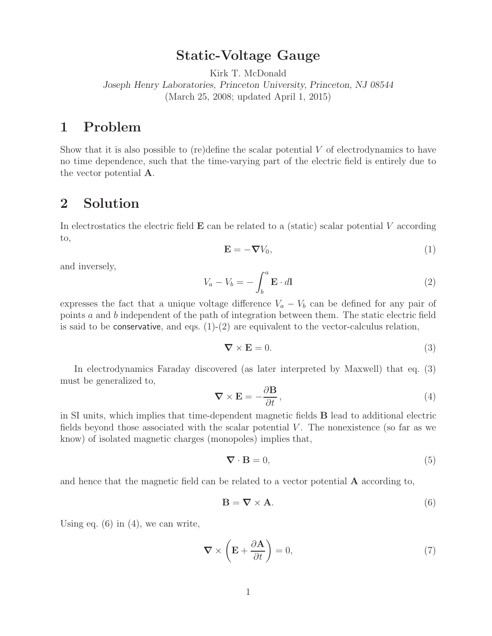**Static-Voltage Gauge** Kirk T. McDonald

*Joseph Henry Laboratories, Princeton University, Princeton, NJ 08544* (March 25, 2008; updated April 1, 2015)

Show that it is also possible to (re)define the scalar potential  $V$  of electrodynamics to have no time dependence, such that the time-varying part of the electric field is entirely due to the vector potential **A**.

## **2 Solution**

In electrostatics the electric field **E** can be related to a (static) scalar potential <sup>V</sup> according to,

$$
\mathbf{E} = -\boldsymbol{\nabla} V_0,\tag{1}
$$

and inversely,

$$
V_a - V_b = -\int_b^a \mathbf{E} \cdot d\mathbf{l}
$$
 (2)

expresses the fact that a unique voltage difference  $V_a - V_b$  can be defined for any pair of points a and b independent of the path of integration between them. The static electric field is said to be conservative, and eqs.  $(1)-(2)$  are equivalent to the vector-calculus relation,

$$
\nabla \times \mathbf{E} = 0. \tag{3}
$$

In electrodynamics Faraday discovered (as later interpreted by Maxwell) that eq. (3) must be generalized to,

$$
\nabla \times \mathbf{E} = -\frac{\partial \mathbf{B}}{\partial t},\tag{4}
$$

in SI units, which implies that time-dependent magnetic fields **B** lead to additional electric fields beyond those associated with the scalar potential  $V$ . The nonexistence (so far as we know) of isolated magnetic charges (monopoles) implies that,

$$
\nabla \cdot \mathbf{B} = 0,\tag{5}
$$

and hence that the magnetic field can be related to a vector potential **A** according to,

$$
\mathbf{B} = \nabla \times \mathbf{A}.\tag{6}
$$

Using eq.  $(6)$  in  $(4)$ , we can write,

$$
\nabla \times \left( \mathbf{E} + \frac{\partial \mathbf{A}}{\partial t} \right) = 0, \tag{7}
$$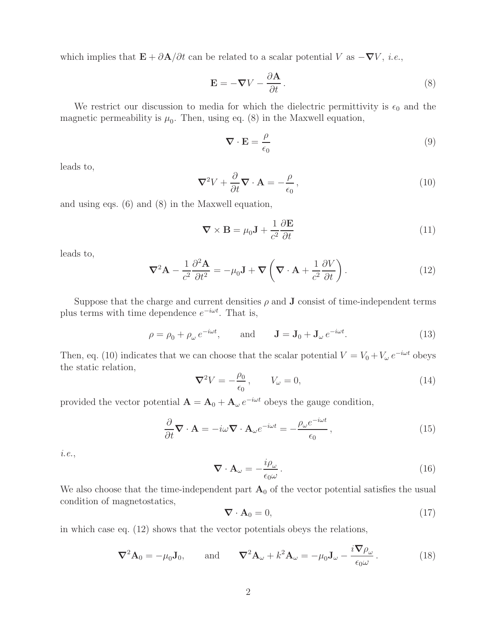which implies that  $\mathbf{E} + \partial \mathbf{A}/\partial t$  can be related to a scalar potential V as  $-\nabla V$ , *i.e.*,

$$
\mathbf{E} = -\nabla V - \frac{\partial \mathbf{A}}{\partial t}.
$$
 (8)

We restrict our discussion to media for which the dielectric permittivity is  $\epsilon_0$  and the magnetic permeability is  $\mu_0$ . Then, using eq. (8) in the Maxwell equation,

$$
\nabla \cdot \mathbf{E} = \frac{\rho}{\epsilon_0} \tag{9}
$$

leads to,

$$
\nabla^2 V + \frac{\partial}{\partial t} \nabla \cdot \mathbf{A} = -\frac{\rho}{\epsilon_0},\tag{10}
$$

and using eqs. (6) and (8) in the Maxwell equation,

$$
\nabla \times \mathbf{B} = \mu_0 \mathbf{J} + \frac{1}{c^2} \frac{\partial \mathbf{E}}{\partial t}
$$
 (11)

leads to,

$$
\nabla^2 \mathbf{A} - \frac{1}{c^2} \frac{\partial^2 \mathbf{A}}{\partial t^2} = -\mu_0 \mathbf{J} + \nabla \left( \nabla \cdot \mathbf{A} + \frac{1}{c^2} \frac{\partial V}{\partial t} \right).
$$
 (12)

Suppose that the charge and current densities  $\rho$  and **J** consist of time-independent terms plus terms with time dependence  $e^{-i\omega t}$ . That is,

$$
\rho = \rho_0 + \rho_\omega e^{-i\omega t}, \quad \text{and} \quad \mathbf{J} = \mathbf{J}_0 + \mathbf{J}_\omega e^{-i\omega t}. \tag{13}
$$

Then, eq. (10) indicates that we can choose that the scalar potential  $V = V_0 + V_\omega e^{-i\omega t}$  obeys the static relation,

$$
\nabla^2 V = -\frac{\rho_0}{\epsilon_0}, \qquad V_\omega = 0,
$$
\n(14)

provided the vector potential  $\mathbf{A} = \mathbf{A}_0 + \mathbf{A}_{\omega} e^{-i\omega t}$  obeys the gauge condition,

$$
\frac{\partial}{\partial t} \nabla \cdot \mathbf{A} = -i\omega \nabla \cdot \mathbf{A}_{\omega} e^{-i\omega t} = -\frac{\rho_{\omega} e^{-i\omega t}}{\epsilon_0},\tag{15}
$$

*i.e.*,

$$
\nabla \cdot \mathbf{A}_{\omega} = -\frac{i\rho_{\omega}}{\epsilon_0 \omega}.
$$
 (16)

We also choose that the time-independent part  $A_0$  of the vector potential satisfies the usual condition of magnetostatics,

$$
\nabla \cdot \mathbf{A}_0 = 0, \tag{17}
$$

in which case eq. (12) shows that the vector potentials obeys the relations,

$$
\nabla^2 \mathbf{A}_0 = -\mu_0 \mathbf{J}_0, \quad \text{and} \quad \nabla^2 \mathbf{A}_\omega + k^2 \mathbf{A}_\omega = -\mu_0 \mathbf{J}_\omega - \frac{i \nabla \rho_\omega}{\epsilon_0 \omega}.
$$
 (18)